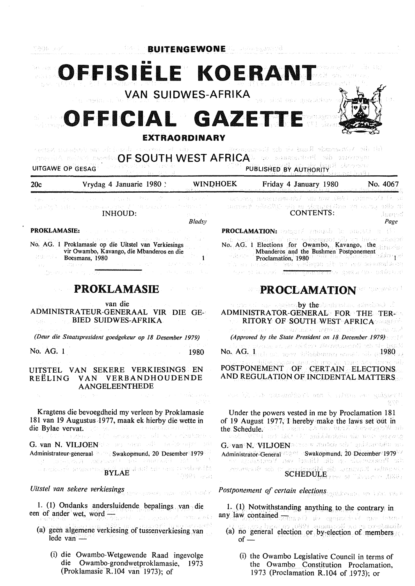.<br>Termine este

 $\frac{1}{2} \frac{1}{2} \mathcal{L}^{2} \mathcal{L}^{2}$ 

•• **OFFISIELE KOERANT**  är og

VAN SUIDWES-AFRIKA

# FFICIAL GAZI **EXTRAORDINARY**



วลละเพิ่มที่วย

(i) die Vouserande Raad vir die Easammung sedies constructions of hour **OF SOUTH WEST AFRICA** and assumption of the sympathy and the sympathy of the sympathy of the sympathy of the sympathy of the sympathy of the sympathy of the sympathy of the sympathy of the sympathy of the sympathy of the UITGAWE OP GESAG

| 20c                                                                                                                                                                                                                                     | Vrydag 4 Januarie 1980 :                                                                                                                                                                                                                                                                                                                                                                                                                             | <b>WINDHOEK</b>            |                                                                                                                                                                                                                        | $\sim$<br>4 Martin Parti (1995)<br>Friday 4 January 1980<br>No. 4067                                                                                                                                                                                      |                    |
|-----------------------------------------------------------------------------------------------------------------------------------------------------------------------------------------------------------------------------------------|------------------------------------------------------------------------------------------------------------------------------------------------------------------------------------------------------------------------------------------------------------------------------------------------------------------------------------------------------------------------------------------------------------------------------------------------------|----------------------------|------------------------------------------------------------------------------------------------------------------------------------------------------------------------------------------------------------------------|-----------------------------------------------------------------------------------------------------------------------------------------------------------------------------------------------------------------------------------------------------------|--------------------|
|                                                                                                                                                                                                                                         |                                                                                                                                                                                                                                                                                                                                                                                                                                                      | in Spanisher               |                                                                                                                                                                                                                        | ar Al Desember 1980, wa an Ndaaparasan rancas                                                                                                                                                                                                             |                    |
|                                                                                                                                                                                                                                         | Save and the resources of the Hole (MC)<br>Swelty South Look among the County of the County of the County of the County<br><b>INHOUD:</b>                                                                                                                                                                                                                                                                                                            | as suchai<br><b>Bladsy</b> |                                                                                                                                                                                                                        | in clie unt no untimulation at the Victory (were<br>CONTENTS:                                                                                                                                                                                             | เงียงการด้<br>Page |
| <b>PROKLAMASIE:</b> A complementary and the complementary of the complementary of the complementary of the complementary                                                                                                                |                                                                                                                                                                                                                                                                                                                                                                                                                                                      |                            | <b>PROCLAMATION:</b> applied a smaph for market of $\{V\}$                                                                                                                                                             |                                                                                                                                                                                                                                                           |                    |
|                                                                                                                                                                                                                                         | 网络加拿大 化二酸乙酯 计中心输入程序<br>No. AG. 1 Proklamasie op die Uitstel van Verkiesings<br>vir Owambo, Kavango, die Mbanderos en die<br><b>Example Boesmans</b> , 1980<br>and the Marian College of the College of the College of the College of the College of the College of the College of the College of the College of the College of the College of the College of the College of the College of t<br>CONSTRUCTION OF THE CONSTRUCTION OF THE CONSTRUCTION | $\mathbf{1}$               |                                                                                                                                                                                                                        | No. AG. 1 Elections for Owambo, Kavango, the abused<br>Mbanderos and the Bushmen Postponement<br>Proclamation, 1980 Tradition of School School of<br>richatement wer verdengen ver in batchen en die<br>the place of Asylv guildinary guine the office of |                    |
|                                                                                                                                                                                                                                         | <b>PROKLAMASIE</b>                                                                                                                                                                                                                                                                                                                                                                                                                                   |                            |                                                                                                                                                                                                                        | <b>PROCLAMATION</b>                                                                                                                                                                                                                                       |                    |
|                                                                                                                                                                                                                                         | van die<br>$\mathcal{L}^{\mathcal{A}}$ , the second condition of the second condition of $\mathcal{L}^{\mathcal{A}}$<br>ADMINISTRATEUR-GENERAAL VIR DIE GE-<br><b>BIED SUIDWES-AFRIKA</b>                                                                                                                                                                                                                                                            |                            |                                                                                                                                                                                                                        | a social as aquina <b>by the</b> diationist should. I<br>ADMINISTRATOR-GENERAL FOR THE TER-<br>RITORY OF SOUTH WEST AFRICA                                                                                                                                |                    |
|                                                                                                                                                                                                                                         | (Deur die Staatspresident goedgekeur op 18 Desember 1979)                                                                                                                                                                                                                                                                                                                                                                                            |                            |                                                                                                                                                                                                                        | ger er vilget er læmer møde grøpppar elle blej bypas div<br>(Approved by the State President on 18 December 1979)                                                                                                                                         |                    |
| No. AG. 1                                                                                                                                                                                                                               | and an anti-service and an                                                                                                                                                                                                                                                                                                                                                                                                                           | 1980                       |                                                                                                                                                                                                                        | the matter through the state of her state as the state of the<br>No. $\overline{\text{AG}}_{\alpha\beta} \overline{\text{l}}_{\alpha\beta\gamma}$ is a norm definition of the state of $1980$ as                                                          |                    |
| REËLING                                                                                                                                                                                                                                 | UITSTEL VAN SEKERE VERKIESINGS EN<br>VAN VERBANDHOUDENDE<br><b>AANGELEENTHEDE</b>                                                                                                                                                                                                                                                                                                                                                                    |                            |                                                                                                                                                                                                                        | r der dikspinas much as grund ach besprül<br>POSTPONEMENT OF CERTAIN ELECTIONS<br>AND REGULATION OF INCIDENTAL MATTERS                                                                                                                                    |                    |
| March.                                                                                                                                                                                                                                  | specialists and continues of the support of the context                                                                                                                                                                                                                                                                                                                                                                                              |                            |                                                                                                                                                                                                                        | The play of the contribution of the financial state of the same                                                                                                                                                                                           | ya pe              |
| Kragtens die bevoegdheid my verleen by Proklamasie<br>181 van 19 Augustus 1977, maak ek hierby die wette in<br>die Bylae vervation generale and measurement and Bureau<br>The TAST of Electric CEST Areas experiment and a minutes that |                                                                                                                                                                                                                                                                                                                                                                                                                                                      |                            | Under the powers vested in me by Proclamation 181<br>of 19 August 1977, I hereby make the laws set out in<br>the Schedule: AND Improvement and had the property and<br>cent "UT's me all the gallandshe als use usewan |                                                                                                                                                                                                                                                           |                    |
| G. van: N. VILJOEN (i.e. no men with an internet/ with<br>Administrateur-generaal Swakopmund, 20 Desember 1979<br>t til ternessen i sammen for stander for stora and                                                                    |                                                                                                                                                                                                                                                                                                                                                                                                                                                      |                            | G. van N. VILJOEN DESSE BRIDG ode goldsmobile on<br>Administrator-General Swakopmund, 20 December 1979<br>de Andestruck de Ghad van Neuestand of                                                                       |                                                                                                                                                                                                                                                           |                    |
|                                                                                                                                                                                                                                         | s regionis secretary <b>BYLAE</b>                                                                                                                                                                                                                                                                                                                                                                                                                    | 1933 - 55                  |                                                                                                                                                                                                                        | over Kommunik Minnight of the world of the<br>SCHEDULE (199 6) " Actuatest (020)                                                                                                                                                                          |                    |
| Uitstel van sekere verkiesings                                                                                                                                                                                                          |                                                                                                                                                                                                                                                                                                                                                                                                                                                      |                            | Postponement of certain elections. Suite and the more                                                                                                                                                                  |                                                                                                                                                                                                                                                           |                    |
| 1. (1) Ondanks andersluidende bepalings van die<br>een of ander wet, word — and the second model                                                                                                                                        |                                                                                                                                                                                                                                                                                                                                                                                                                                                      |                            | $1$ . (1) Notwithstanding anything to the contrary in<br>any law contained common and agriculture more interest                                                                                                        |                                                                                                                                                                                                                                                           |                    |
|                                                                                                                                                                                                                                         | (a) geen algemene verkiesing of tussenverkiesing van<br>lede van                                                                                                                                                                                                                                                                                                                                                                                     |                            | $of -$                                                                                                                                                                                                                 | (a) no general election or by-election of members                                                                                                                                                                                                         |                    |

(i) die Owambo-Wetgewende Raad ingevolge die Owambo-grondwetproklamasie, 1973 (Proklamasie R.104 van 1973); of

(i) the Owambo Legislative Council in terms of the Owambo Constitution Proclamation, 1973 (Proclamation R.104 of 1973); or